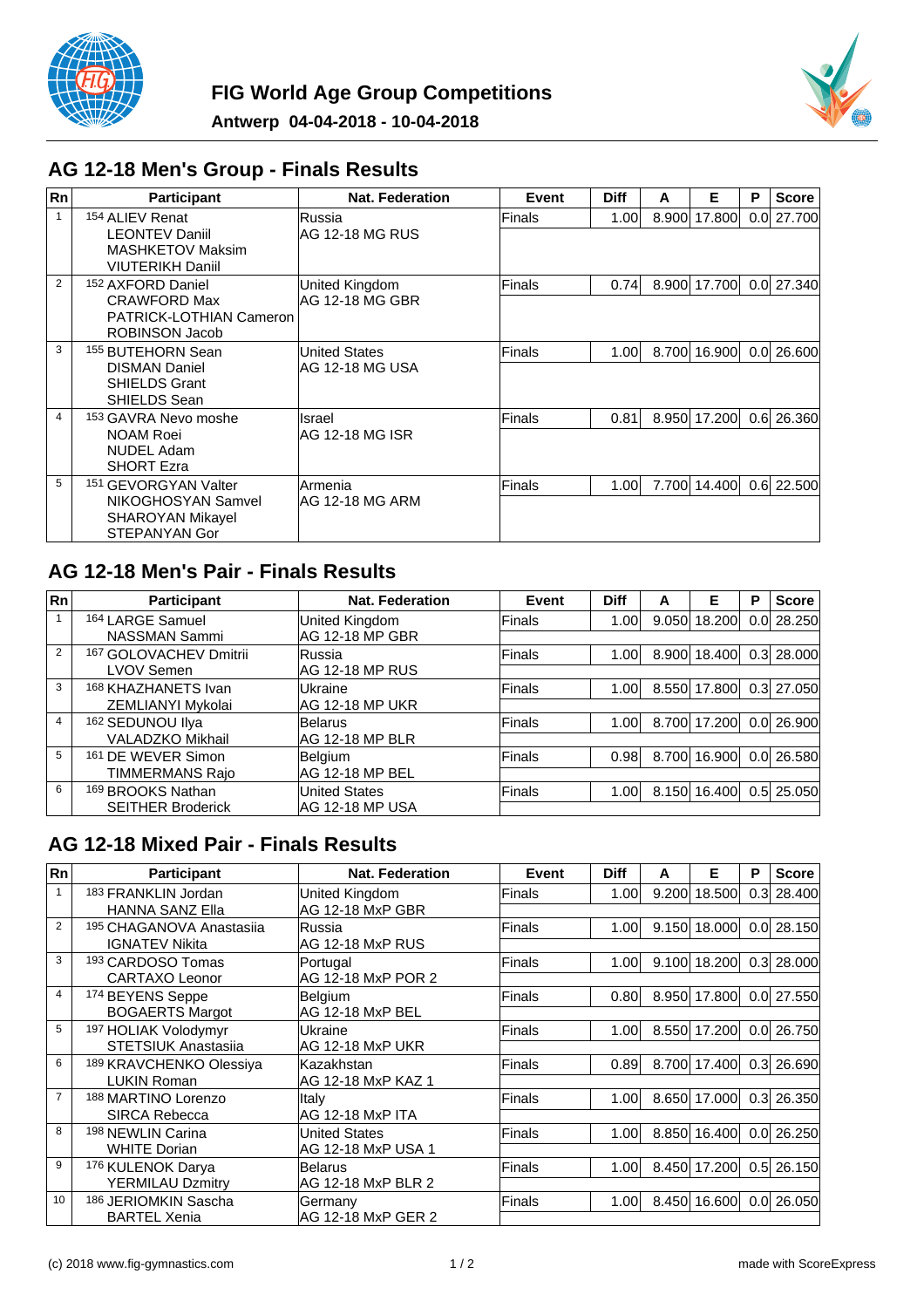



#### **AG 12-18 Men's Group - Finals Results**

| <b>Rn</b> | <b>Participant</b>                               | <b>Nat. Federation</b> | Event         | <b>Diff</b> | A     | Е            | P | <b>Score</b>   |
|-----------|--------------------------------------------------|------------------------|---------------|-------------|-------|--------------|---|----------------|
|           | 154 ALIEV Renat                                  | Russia                 | <b>Finals</b> | 1.00        |       | 8.900 17.800 |   | 0.0 27.700     |
|           | <b>LEONTEV Daniil</b><br><b>MASHKETOV Maksim</b> | IAG 12-18 MG RUS       |               |             |       |              |   |                |
|           | <b>VIUTERIKH Daniil</b>                          |                        |               |             |       |              |   |                |
| 2         | 152 AXFORD Daniel                                | United Kingdom         | lFinals       | 0.74        |       | 8.900 17.700 |   | $0.0$   27.340 |
|           | <b>CRAWFORD Max</b>                              | IAG 12-18 MG GBR       |               |             |       |              |   |                |
|           | PATRICK-LOTHIAN Cameron<br>ROBINSON Jacob        |                        |               |             |       |              |   |                |
| 3         | <sup>155</sup> BUTEHORN Sean                     | <b>United States</b>   | Finals        | 1.00        | 8.700 | 16.900       |   | $0.0$   26.600 |
|           | <b>DISMAN Daniel</b>                             | IAG 12-18 MG USA       |               |             |       |              |   |                |
|           | <b>SHIELDS Grant</b><br><b>SHIELDS Sean</b>      |                        |               |             |       |              |   |                |
| 4         | 153 GAVRA Nevo moshe                             | Israel                 | <b>Finals</b> | 0.81        | 8.950 | 17.200       |   | $0.6$   26.360 |
|           | <b>NOAM Roei</b>                                 | IAG 12-18 MG ISR       |               |             |       |              |   |                |
|           | NUDEL Adam                                       |                        |               |             |       |              |   |                |
|           | <b>SHORT Ezra</b>                                |                        |               |             |       |              |   |                |
| 5         | 151 GEVORGYAN Valter                             | lArmenia               | <b>Finals</b> | 1.00        | 7.700 | 14.400       |   | $0.6$   22.500 |
|           | NIKOGHOSYAN Samvel                               | IAG 12-18 MG ARM       |               |             |       |              |   |                |
|           | <b>SHAROYAN Mikayel</b><br>STEPANYAN Gor         |                        |               |             |       |              |   |                |

#### **AG 12-18 Men's Pair - Finals Results**

| Rn | <b>Participant</b>                | Nat. Federation      | Event  | <b>Diff</b>       | A     | Е            | Р | <b>Score</b>   |
|----|-----------------------------------|----------------------|--------|-------------------|-------|--------------|---|----------------|
|    | 164 LARGE Samuel                  | United Kingdom       | Finals | 1.00              | 9.050 | 18.200       |   | $0.0$   28.250 |
|    | NASSMAN Sammi                     | IAG 12-18 MP GBR     |        |                   |       |              |   |                |
| 2  | <sup>167</sup> GOLOVACHEV Dmitrii | lRussia              | Finals | 1.00 <sub>l</sub> |       | 8.900 18.400 |   | $0.3$ 28.000   |
|    | <b>LVOV Semen</b>                 | IAG 12-18 MP RUS     |        |                   |       |              |   |                |
| 3  | 168 KHAZHANETS Ivan               | Ukraine              | Finals | 1.00              |       | 8.550 17.800 |   | $0.3$ 27.050   |
|    | ZEMLIANYI Mykolai                 | IAG 12-18 MP UKR     |        |                   |       |              |   |                |
| 4  | 162 SEDUNOU Ilya                  | <b>Belarus</b>       | Finals | 1.00              |       | 8.700 17.200 |   | 0.0 26.900     |
|    | <b>VALADZKO Mikhail</b>           | IAG 12-18 MP BLR     |        |                   |       |              |   |                |
| 5  | 161 DE WEVER Simon                | Belgium              | Finals | 0.98              |       | 8.700 16.900 |   | 0.0 26.580     |
|    | TIMMERMANS Rajo                   | IAG 12-18 MP BEL     |        |                   |       |              |   |                |
| 6  | <sup>169</sup> BROOKS Nathan      | <b>United States</b> | Finals | 1.00              |       | 8.150 16.400 |   | $0.5$   25.050 |
|    | <b>SEITHER Broderick</b>          | IAG 12-18 MP USA     |        |                   |       |              |   |                |

### **AG 12-18 Mixed Pair - Finals Results**

| Rn             | <b>Participant</b>                  | Nat. Federation     | <b>Event</b> | <b>Diff</b>       | A | Е            | Р | <b>Score</b> |
|----------------|-------------------------------------|---------------------|--------------|-------------------|---|--------------|---|--------------|
|                | 183 FRANKLIN Jordan                 | United Kingdom      | Finals       | 1.00              |   | 9.200 18.500 |   | $0.3$ 28.400 |
|                | <b>HANNA SANZ Ella</b>              | IAG 12-18 MxP GBR   |              |                   |   |              |   |              |
| $\overline{2}$ | <sup>195</sup> CHAGANOVA Anastasija | lRussia             | Finals       | 1.00              |   | 9.150 18.000 |   | $0.0$ 28.150 |
|                | <b>IGNATEV Nikita</b>               | IAG 12-18 MxP RUS   |              |                   |   |              |   |              |
| 3              | 193 CARDOSO Tomas                   | Portugal            | Finals       | 1.00              |   | 9.100 18.200 |   | $0.3$ 28,000 |
|                | <b>CARTAXO Leonor</b>               | IAG 12-18 MxP POR 2 |              |                   |   |              |   |              |
| 4              | 174 BEYENS Seppe                    | Belgium             | Finals       | 0.80              |   | 8.950 17.800 |   | 0.0127.550   |
|                | <b>BOGAERTS Margot</b>              | IAG 12-18 MxP BEL   |              |                   |   |              |   |              |
| 5              | <sup>197</sup> HOLIAK Volodymyr     | <b>IUkraine</b>     | Finals       | 1.00              |   | 8.550 17.200 |   | 0.0 26.750   |
|                | <b>STETSIUK Anastasija</b>          | IAG 12-18 MxP UKR   |              |                   |   |              |   |              |
| 6              | 189 KRAVCHENKO Olessiya             | lKazakhstan         | Finals       | 0.89              |   | 8.700 17.400 |   | 0.3 26.690   |
|                | <b>LUKIN Roman</b>                  | AG 12-18 MxP KAZ 1  |              |                   |   |              |   |              |
| $\overline{7}$ | 188 MARTINO Lorenzo                 | lltalv              | Finals       | 1.00              |   | 8.650 17.000 |   | $0.3$ 26.350 |
|                | <b>SIRCA Rebecca</b>                | IAG 12-18 MxP ITA   |              |                   |   |              |   |              |
| 8              | 198 NEWLIN Carina                   | United States       | Finals       | 1.00              |   | 8.850 16.400 |   | 0.0 26.250   |
|                | <b>WHITE Dorian</b>                 | IAG 12-18 MxP USA 1 |              |                   |   |              |   |              |
| 9              | 176 KULENOK Darya                   | Belarus             | Finals       | 1.00              |   | 8.450 17.200 |   | $0.5$ 26.150 |
|                | <b>YERMILAU Dzmitry</b>             | IAG 12-18 MxP BLR 2 |              |                   |   |              |   |              |
| 10             | <sup>186</sup> JERIOMKIN Sascha     | Germany             | Finals       | 1.00 <sub>l</sub> |   | 8.450 16.600 |   | 0.0126.050   |
|                | <b>BARTEL Xenia</b>                 | AG 12-18 MxP GER 2  |              |                   |   |              |   |              |